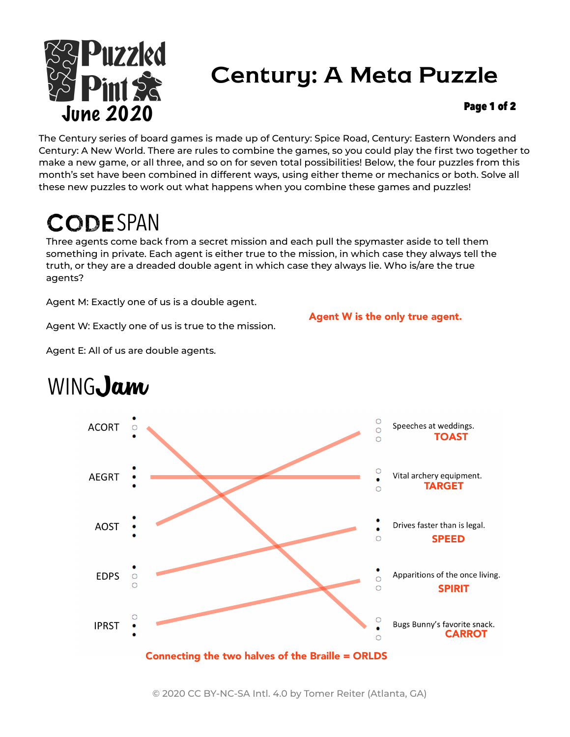

## Century: A Meta Puzzle

#### Page 1 of 2

The Century series of board games is made up of Century: Spice Road, Century: Eastern Wonders and Century: A New World. There are rules to combine the games, so you could play the first two together to make a new game, or all three, and so on for seven total possibilities! Below, the four puzzles from this month's set have been combined in different ways, using either theme or mechanics or both. Solve all these new puzzles to work out what happens when you combine these games and puzzles!

# CODESPAN

Three agents come back from a secret mission and each pull the spymaster aside to tell them something in private. Each agent is either true to the mission, in which case they always tell the truth, or they are a dreaded double agent in which case they always lie. Who is/are the true agents?

Agent M: Exactly one of us is a double agent.

Agent W is the only true agent.

Agent W: Exactly one of us is true to the mission.



Agent E: All of us are double agents.